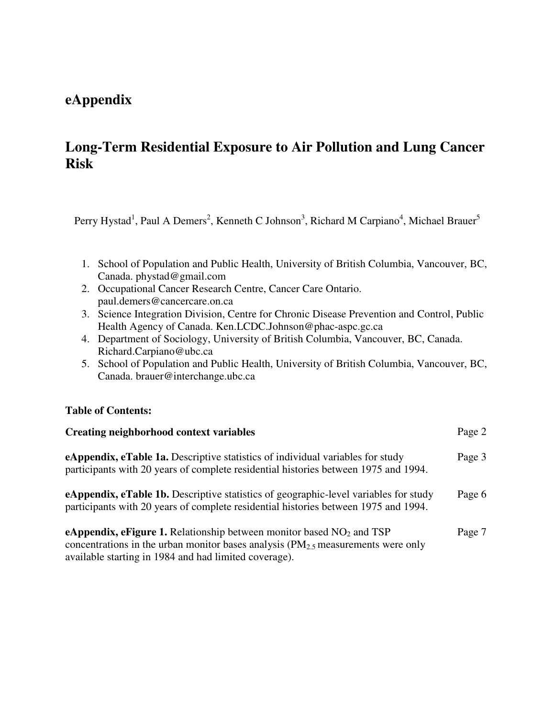## **eAppendix**

## **Long-Term Residential Exposure to Air Pollution and Lung Cancer Risk**

Perry Hystad<sup>1</sup>, Paul A Demers<sup>2</sup>, Kenneth C Johnson<sup>3</sup>, Richard M Carpiano<sup>4</sup>, Michael Brauer<sup>5</sup>

- 1. School of Population and Public Health, University of British Columbia, Vancouver, BC, Canada. phystad@gmail.com
- 2. Occupational Cancer Research Centre, Cancer Care Ontario. paul.demers@cancercare.on.ca
- 3. Science Integration Division, Centre for Chronic Disease Prevention and Control, Public Health Agency of Canada. Ken.LCDC.Johnson@phac-aspc.gc.ca
- 4. Department of Sociology, University of British Columbia, Vancouver, BC, Canada. Richard.Carpiano@ubc.ca
- 5. School of Population and Public Health, University of British Columbia, Vancouver, BC, Canada. brauer@interchange.ubc.ca

## **Table of Contents:**

| <b>Creating neighborhood context variables</b>                                                                                                                                                                                  | Page 2 |
|---------------------------------------------------------------------------------------------------------------------------------------------------------------------------------------------------------------------------------|--------|
| <b>eAppendix, eTable 1a.</b> Descriptive statistics of individual variables for study<br>participants with 20 years of complete residential histories between 1975 and 1994.                                                    | Page 3 |
| <b>eAppendix, eTable 1b.</b> Descriptive statistics of geographic-level variables for study<br>participants with 20 years of complete residential histories between 1975 and 1994.                                              | Page 6 |
| <b>eAppendix, eFigure 1.</b> Relationship between monitor based $NO2$ and TSP<br>concentrations in the urban monitor bases analysis $(PM_{2.5}$ measurements were only<br>available starting in 1984 and had limited coverage). | Page 7 |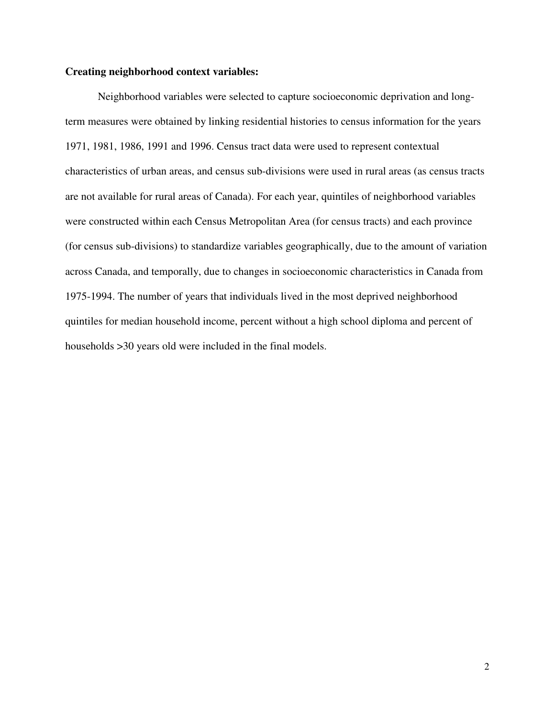## **Creating neighborhood context variables:**

 Neighborhood variables were selected to capture socioeconomic deprivation and longterm measures were obtained by linking residential histories to census information for the years 1971, 1981, 1986, 1991 and 1996. Census tract data were used to represent contextual characteristics of urban areas, and census sub-divisions were used in rural areas (as census tracts are not available for rural areas of Canada). For each year, quintiles of neighborhood variables were constructed within each Census Metropolitan Area (for census tracts) and each province (for census sub-divisions) to standardize variables geographically, due to the amount of variation across Canada, and temporally, due to changes in socioeconomic characteristics in Canada from 1975-1994. The number of years that individuals lived in the most deprived neighborhood quintiles for median household income, percent without a high school diploma and percent of households >30 years old were included in the final models.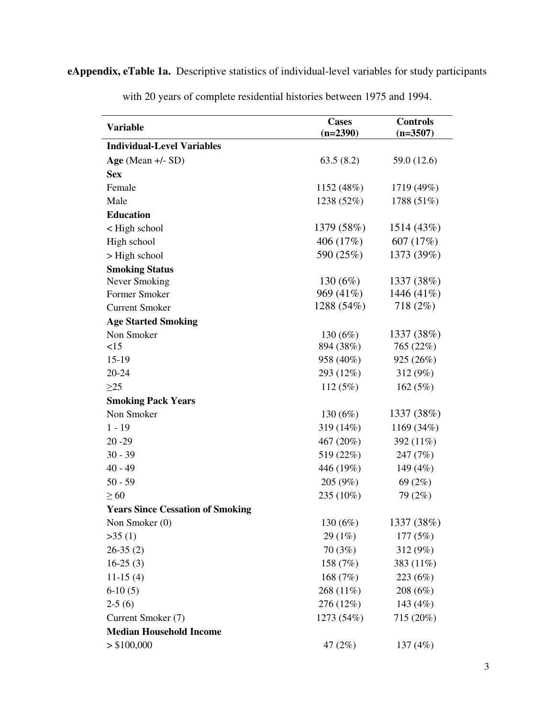**eAppendix, eTable 1a.** Descriptive statistics of individual-level variables for study participants

| <b>Variable</b>                         | <b>Cases</b> | <b>Controls</b> |
|-----------------------------------------|--------------|-----------------|
|                                         | $(n=2390)$   | $(n=3507)$      |
| <b>Individual-Level Variables</b>       |              |                 |
| Age (Mean $+/-$ SD)                     | 63.5(8.2)    | 59.0 (12.6)     |
| <b>Sex</b>                              |              |                 |
| Female                                  | 1152(48%)    | 1719 (49%)      |
| Male                                    | 1238 (52%)   | 1788 (51%)      |
| <b>Education</b>                        |              |                 |
| < High school                           | 1379 (58%)   | 1514(43%)       |
| High school                             | 406 (17%)    | 607 (17%)       |
| > High school                           | 590 (25%)    | 1373 (39%)      |
| <b>Smoking Status</b>                   |              |                 |
| Never Smoking                           | 130 $(6%)$   | 1337 (38%)      |
| Former Smoker                           | 969 (41%)    | 1446 (41%)      |
| <b>Current Smoker</b>                   | 1288 (54%)   | 718 (2%)        |
| <b>Age Started Smoking</b>              |              |                 |
| Non Smoker                              | 130 $(6%)$   | 1337 (38%)      |
| <15                                     | 894 (38%)    | 765 (22%)       |
| $15-19$                                 | 958 (40%)    | 925 (26%)       |
| 20-24                                   | 293 (12%)    | 312 (9%)        |
| $\geq$ 25                               | 112(5%)      | 162 $(5%)$      |
| <b>Smoking Pack Years</b>               |              |                 |
| Non Smoker                              | 130 $(6%)$   | 1337 (38%)      |
| $1 - 19$                                | 319 (14%)    | 1169 (34%)      |
| $20 - 29$                               | 467 (20%)    | 392 (11%)       |
| $30 - 39$                               | 519 (22%)    | 247 (7%)        |
| $40 - 49$                               | 446 (19%)    | 149 (4%)        |
| $50 - 59$                               | 205 (9%)     | 69 $(2%)$       |
| $\geq 60$                               | 235 (10%)    | 79 (2%)         |
| <b>Years Since Cessation of Smoking</b> |              |                 |
| Non Smoker $(0)$                        | 130 (6%)     | 1337 (38%)      |
| >35(1)                                  | 29 (1%)      | 177(5%)         |
| $26-35(2)$                              | 70(3%)       | 312 (9%)        |
| $16-25(3)$                              | 158 (7%)     | 383 (11%)       |
| $11-15(4)$                              | 168 $(7%)$   | 223 (6%)        |
| $6-10(5)$                               | 268 (11%)    | 208(6%)         |
| $2-5(6)$                                | 276 (12%)    | 143 (4%)        |
| Current Smoker (7)                      | 1273 (54%)   | 715 (20%)       |
| <b>Median Household Income</b>          |              |                 |
| > \$100,000                             | 47 $(2\%)$   | 137 $(4%)$      |

with 20 years of complete residential histories between 1975 and 1994.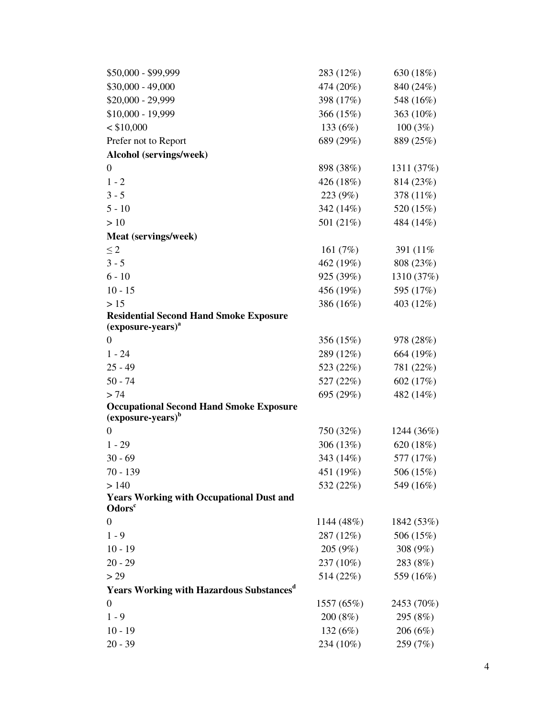| \$50,000 - \$99,999                                                             | 283 (12%)   | 630 (18%)  |
|---------------------------------------------------------------------------------|-------------|------------|
| $$30,000 - 49,000$                                                              | 474 (20%)   | 840 (24%)  |
| \$20,000 - 29,999                                                               | 398 (17%)   | 548 (16%)  |
| \$10,000 - 19,999                                                               | 366 (15%)   | 363 (10%)  |
| $<$ \$10,000                                                                    | 133 (6%)    | 100(3%)    |
| Prefer not to Report                                                            | 689 (29%)   | 889 (25%)  |
| Alcohol (servings/week)                                                         |             |            |
| $\boldsymbol{0}$                                                                | 898 (38%)   | 1311 (37%) |
| $1 - 2$                                                                         | 426 (18%)   | 814 (23%)  |
| $3 - 5$                                                                         | 223 (9%)    | 378 (11%)  |
| $5 - 10$                                                                        | 342 (14%)   | 520 (15%)  |
| >10                                                                             | 501 (21%)   | 484 (14%)  |
| Meat (servings/week)                                                            |             |            |
| $\leq 2$                                                                        | 161 $(7%)$  | 391 (11%)  |
| $3 - 5$                                                                         | 462 (19%)   | 808 (23%)  |
| $6 - 10$                                                                        | 925 (39%)   | 1310 (37%) |
| $10 - 15$                                                                       | 456 (19%)   | 595 (17%)  |
| >15                                                                             | 386 (16%)   | 403 (12%)  |
| <b>Residential Second Hand Smoke Exposure</b>                                   |             |            |
| $(exposure-years)^a$                                                            |             |            |
| $\theta$                                                                        | 356 (15%)   | 978 (28%)  |
| $1 - 24$                                                                        | 289 (12%)   | 664 (19%)  |
| $25 - 49$                                                                       | 523 (22%)   | 781 (22%)  |
| $50 - 74$                                                                       | 527 (22%)   | 602 (17%)  |
| > 74                                                                            | 695 (29%)   | 482 (14%)  |
| <b>Occupational Second Hand Smoke Exposure</b><br>(exposure-years) <sup>b</sup> |             |            |
| $\Omega$                                                                        | 750 (32%)   | 1244 (36%) |
| $1 - 29$                                                                        | 306 $(13%)$ | 620(18%)   |
| $30 - 69$                                                                       | 343 (14%)   | 577 (17%)  |
| $70 - 139$                                                                      | 451 (19%)   | 506 (15%)  |
| > 140                                                                           | 532 (22%)   | 549 (16%)  |
| <b>Years Working with Occupational Dust and</b>                                 |             |            |
| Odors <sup>c</sup>                                                              |             |            |
| $\boldsymbol{0}$                                                                | 1144(48%)   | 1842 (53%) |
| $1 - 9$                                                                         | 287 (12%)   | 506 (15%)  |
| $10 - 19$                                                                       | 205(9%)     | 308 (9%)   |
| $20 - 29$                                                                       | 237 (10%)   | 283 (8%)   |
| > 29                                                                            | 514 (22%)   | 559 (16%)  |
| <b>Years Working with Hazardous Substances</b> <sup>d</sup>                     |             |            |
| $\boldsymbol{0}$                                                                | 1557 (65%)  | 2453 (70%) |
| $1 - 9$                                                                         | 200 (8%)    | 295 (8%)   |
| $10 - 19$                                                                       | 132 $(6%)$  | 206(6%)    |
| $20 - 39$                                                                       | 234 (10%)   | 259 (7%)   |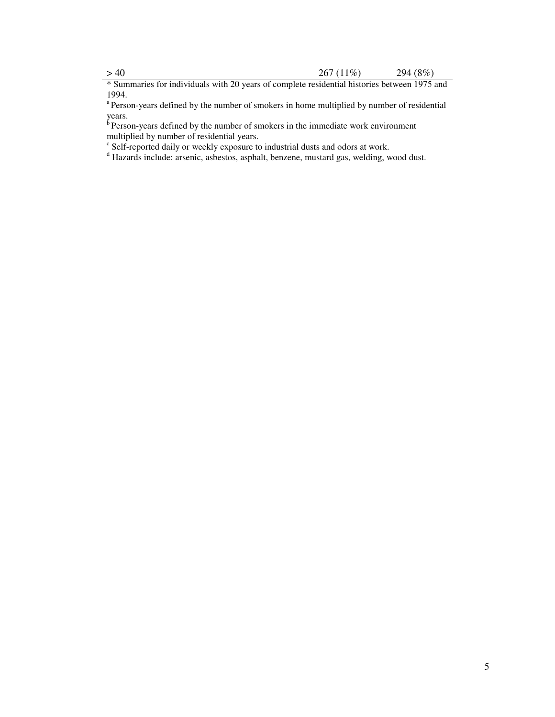\* Summaries for individuals with 20 years of complete residential histories between 1975 and 1994.

<sup>a</sup> Person-years defined by the number of smokers in home multiplied by number of residential years.

 $\overline{b}$  Person-years defined by the number of smokers in the immediate work environment multiplied by number of residential years.

<sup>c</sup> Self-reported daily or weekly exposure to industrial dusts and odors at work.<br><sup>d</sup> Hazards include: arsenic, asbestos, asphalt, benzene, mustard gas, welding, wood dust.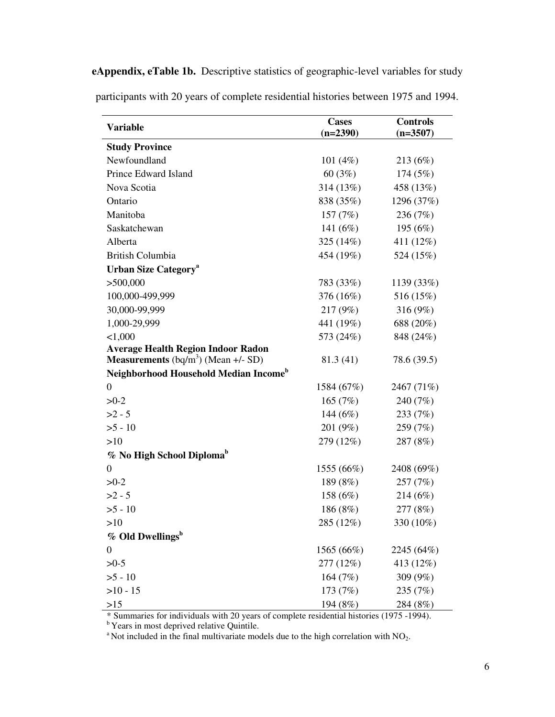|                                                   | <b>Cases</b> | <b>Controls</b> |
|---------------------------------------------------|--------------|-----------------|
| <b>Variable</b>                                   | $(n=2390)$   | $(n=3507)$      |
| <b>Study Province</b>                             |              |                 |
| Newfoundland                                      | 101 $(4%)$   | 213 (6%)        |
| Prince Edward Island                              | 60(3%)       | 174 (5%)        |
| Nova Scotia                                       | 314 (13%)    | 458 (13%)       |
| Ontario                                           | 838 (35%)    | 1296 (37%)      |
| Manitoba                                          | 157 $(7%)$   | 236 (7%)        |
| Saskatchewan                                      | 141 (6%)     | 195 (6%)        |
| Alberta                                           | 325 (14%)    | 411 (12%)       |
| <b>British Columbia</b>                           | 454 (19%)    | 524 (15%)       |
| <b>Urban Size Category</b> <sup>a</sup>           |              |                 |
| >500,000                                          | 783 (33%)    | 1139 (33%)      |
| 100,000-499,999                                   | 376 (16%)    | 516 (15%)       |
| 30,000-99,999                                     | 217 (9%)     | 316 (9%)        |
| 1,000-29,999                                      | 441 (19%)    | 688 (20%)       |
| < 1,000                                           | 573 (24%)    | 848 (24%)       |
| <b>Average Health Region Indoor Radon</b>         |              |                 |
| <b>Measurements</b> $(bq/m^3)$ (Mean $+/-$ SD)    | 81.3 (41)    | 78.6 (39.5)     |
| Neighborhood Household Median Income <sup>b</sup> |              |                 |
| 0                                                 | 1584 (67%)   | 2467 (71%)      |
| $>0-2$                                            | 165 $(7%)$   | 240 (7%)        |
| $>2 - 5$                                          | 144 (6%)     | 233 (7%)        |
| $>5 - 10$                                         | 201 (9%)     | 259 (7%)        |
| >10                                               | 279 (12%)    | 287 (8%)        |
| % No High School Diploma <sup>b</sup>             |              |                 |
| $\boldsymbol{0}$                                  | 1555 (66%)   | 2408 (69%)      |
| $>0-2$                                            | 189 (8%)     | 257 (7%)        |
| $>2 - 5$                                          | 158 (6%)     | 214 (6%)        |
| $>5 - 10$                                         | 186 (8%)     | 277 (8%)        |
| >10                                               | 285 (12%)    | 330 (10%)       |
| % Old Dwellings <sup>b</sup>                      |              |                 |
| 0                                                 | 1565 (66%)   | 2245 (64%)      |
| $>0-5$                                            | 277 (12%)    | 413 (12%)       |
| $>5 - 10$                                         | 164 (7%)     | 309 (9%)        |
| $>10 - 15$                                        | 173 (7%)     | 235 (7%)        |
| >15                                               | 194 (8%)     | 284 (8%)        |

**eAppendix, eTable 1b.** Descriptive statistics of geographic-level variables for study participants with 20 years of complete residential histories between 1975 and 1994.

\* Summaries for individuals with 20 years of complete residential histories (1975 -1994).

<sup>b</sup> Years in most deprived relative Quintile.

<sup>a</sup> Not included in the final multivariate models due to the high correlation with  $NO<sub>2</sub>$ .